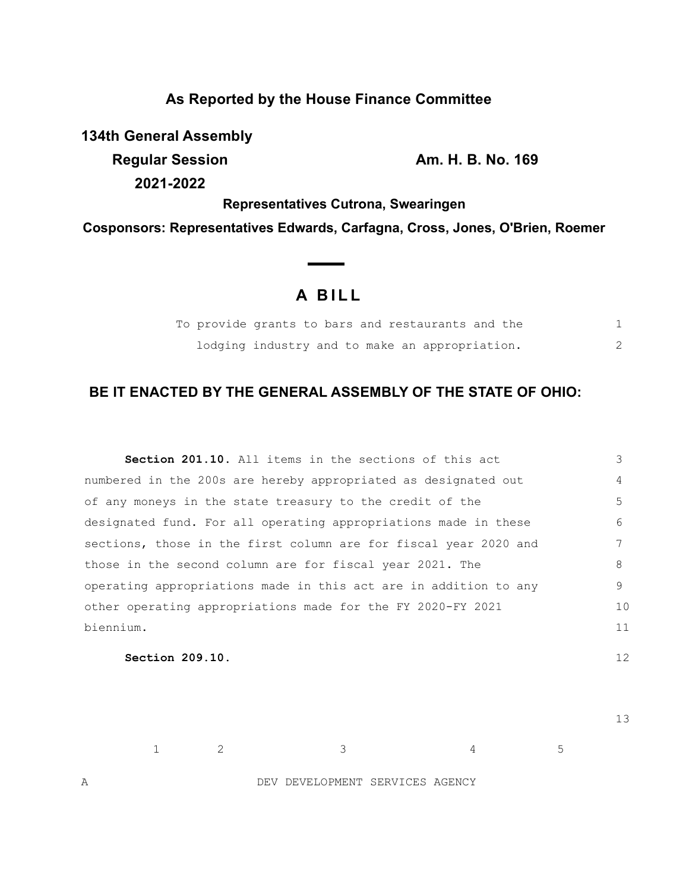## **As Reported by the House Finance Committee**

**134th General Assembly**

**Regular Session Am. H. B. No. 169** 

**2021-2022**

**Representatives Cutrona, Swearingen**

**Cosponsors: Representatives Edwards, Carfagna, Cross, Jones, O'Brien, Roemer**

## **A B I L L**

|  |  | To provide grants to bars and restaurants and the |  |
|--|--|---------------------------------------------------|--|
|  |  | lodging industry and to make an appropriation.    |  |

## **BE IT ENACTED BY THE GENERAL ASSEMBLY OF THE STATE OF OHIO:**

| <b>Section 201.10.</b> All items in the sections of this act     | 3  |
|------------------------------------------------------------------|----|
| numbered in the 200s are hereby appropriated as designated out   | 4  |
| of any moneys in the state treasury to the credit of the         | 5  |
| designated fund. For all operating appropriations made in these  | 6  |
| sections, those in the first column are for fiscal year 2020 and | 7  |
| those in the second column are for fiscal year 2021. The         | 8  |
| operating appropriations made in this act are in addition to any | 9  |
| other operating appropriations made for the FY 2020-FY 2021      | 10 |
| biennium.                                                        | 11 |
|                                                                  |    |

**Section 209.10.** 

13

12

 $1$  2 3 4 5

A DEV DEVELOPMENT SERVICES AGENCY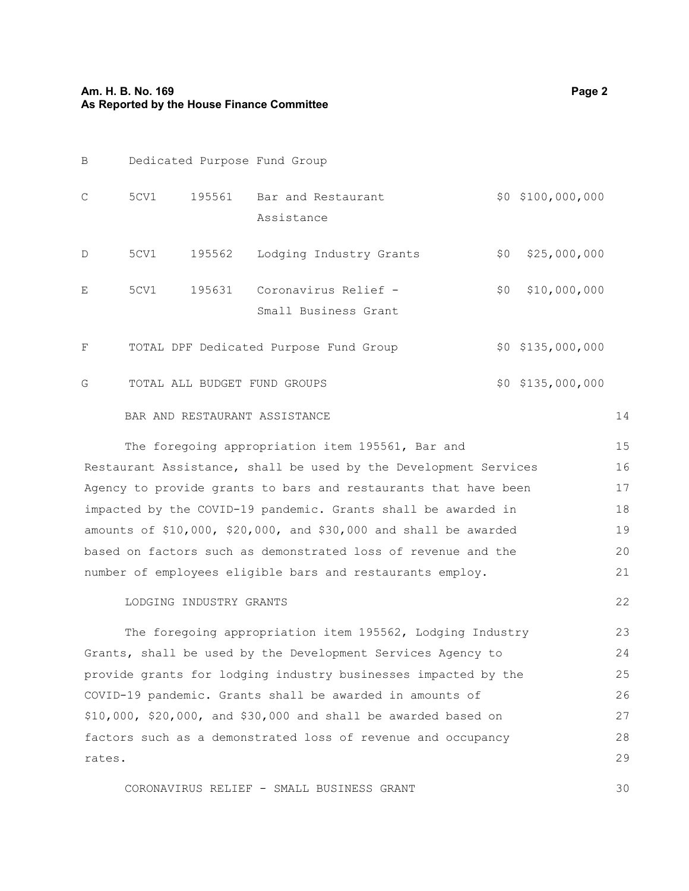| B                                                                     | Dedicated Purpose Fund Group                                |        |                                                  |       |                   |    |  |  |  |
|-----------------------------------------------------------------------|-------------------------------------------------------------|--------|--------------------------------------------------|-------|-------------------|----|--|--|--|
| $\mathcal{C}$                                                         | 5CV1                                                        | 195561 | Bar and Restaurant                               |       | \$0 \$100,000,000 |    |  |  |  |
|                                                                       |                                                             |        | Assistance                                       |       |                   |    |  |  |  |
| D                                                                     | 5CV1                                                        | 195562 | Lodging Industry Grants                          | \$0   | \$25,000,000      |    |  |  |  |
| E                                                                     | 5CV1                                                        | 195631 | Coronavirus Relief -                             | \$0\$ | \$10,000,000      |    |  |  |  |
|                                                                       |                                                             |        | Small Business Grant                             |       |                   |    |  |  |  |
| $\mathbf F$                                                           | \$0 \$135,000,000<br>TOTAL DPF Dedicated Purpose Fund Group |        |                                                  |       |                   |    |  |  |  |
| G                                                                     | \$0 \$135,000,000<br>TOTAL ALL BUDGET FUND GROUPS           |        |                                                  |       |                   |    |  |  |  |
| BAR AND RESTAURANT ASSISTANCE                                         |                                                             |        |                                                  |       |                   |    |  |  |  |
|                                                                       |                                                             |        | The foregoing appropriation item 195561, Bar and |       |                   | 15 |  |  |  |
| Restaurant Assistance, shall be used by the Development Services      |                                                             |        |                                                  |       |                   |    |  |  |  |
| Agency to provide grants to bars and restaurants that have been       |                                                             |        |                                                  |       |                   |    |  |  |  |
| impacted by the COVID-19 pandemic. Grants shall be awarded in         |                                                             |        |                                                  |       |                   |    |  |  |  |
| amounts of $$10,000$ , $$20,000$ , and $$30,000$ and shall be awarded |                                                             |        |                                                  |       |                   |    |  |  |  |
| based on factors such as demonstrated loss of revenue and the         |                                                             |        |                                                  |       |                   |    |  |  |  |

LODGING INDUSTRY GRANTS

The foregoing appropriation item 195562, Lodging Industry Grants, shall be used by the Development Services Agency to provide grants for lodging industry businesses impacted by the COVID-19 pandemic. Grants shall be awarded in amounts of \$10,000, \$20,000, and \$30,000 and shall be awarded based on factors such as a demonstrated loss of revenue and occupancy rates. 23 24 25 26 27 28 29

CORONAVIRUS RELIEF - SMALL BUSINESS GRANT

number of employees eligible bars and restaurants employ.

21

22

30